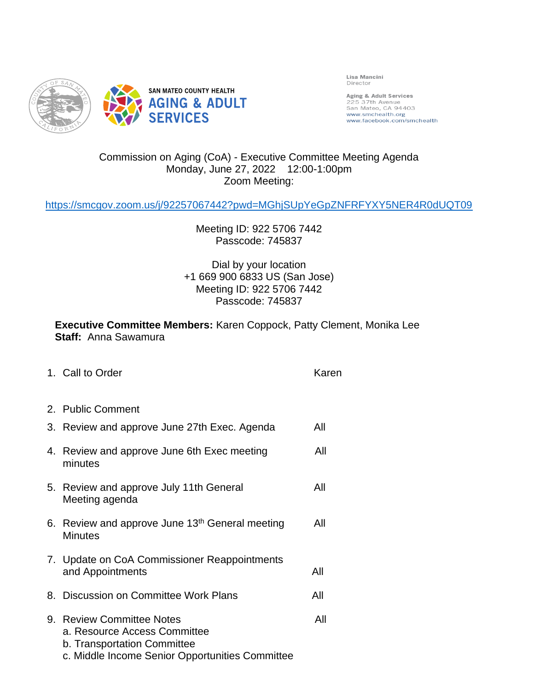

Lisa Mancini Director

Aging & Adult Services<br>225 37th Avenue<br>San Mateo, CA 94403 www.smchealth.org<br>www.facebook.com/smchealth

## Commission on Aging (CoA) - Executive Committee Meeting Agenda Monday, June 27, 2022 12:00-1:00pm Zoom Meeting:

<https://smcgov.zoom.us/j/92257067442?pwd=MGhjSUpYeGpZNFRFYXY5NER4R0dUQT09>

Meeting ID: 922 5706 7442 Passcode: 745837

Dial by your location +1 669 900 6833 US (San Jose) Meeting ID: 922 5706 7442 Passcode: 745837

**Executive Committee Members:** Karen Coppock, Patty Clement, Monika Lee **Staff:** Anna Sawamura

|    | 1. Call to Order                                                                                                                            | Karen |
|----|---------------------------------------------------------------------------------------------------------------------------------------------|-------|
|    | 2. Public Comment                                                                                                                           |       |
| 3. | Review and approve June 27th Exec. Agenda                                                                                                   | All   |
|    | 4. Review and approve June 6th Exec meeting<br>minutes                                                                                      | All   |
| 5. | Review and approve July 11th General<br>Meeting agenda                                                                                      | All   |
|    | 6. Review and approve June 13th General meeting<br><b>Minutes</b>                                                                           | All   |
|    | 7. Update on CoA Commissioner Reappointments<br>and Appointments                                                                            | All   |
|    | 8. Discussion on Committee Work Plans                                                                                                       | All   |
|    | 9. Review Committee Notes<br>a. Resource Access Committee<br>b. Transportation Committee<br>c. Middle Income Senior Opportunities Committee | All   |